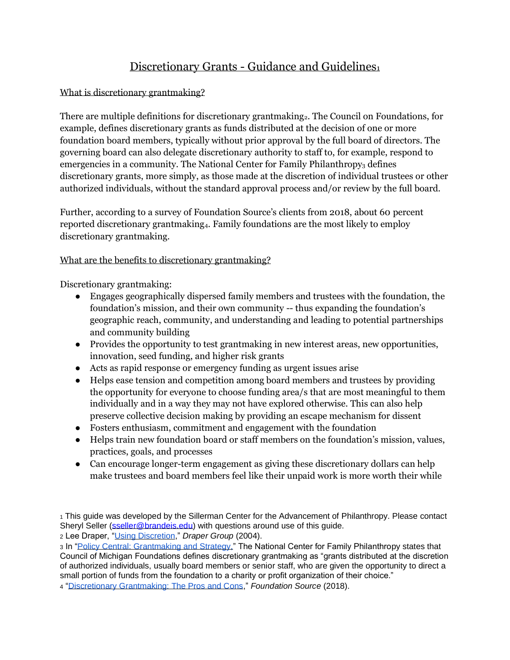# Discretionary Grants - Guidance and Guidelines<sup>1</sup>

# What is discretionary grantmaking?

There are multiple definitions for discretionary grantmaking<sub>2</sub>. The Council on Foundations, for example, defines discretionary grants as funds distributed at the decision of one or more foundation board members, typically without prior approval by the full board of directors. The governing board can also delegate discretionary authority to staff to, for example, respond to emergencies in a community. The National Center for Family Philanthropy<sub>3</sub> defines discretionary grants, more simply, as those made at the discretion of individual trustees or other authorized individuals, without the standard approval process and/or review by the full board.

Further, according to a survey of Foundation Source's clients from 2018, about 60 percent reported discretionary grantmaking<sub>4</sub>. Family foundations are the most likely to employ discretionary grantmaking.

# What are the benefits to discretionary grantmaking?

Discretionary grantmaking:

- Engages geographically dispersed family members and trustees with the foundation, the foundation's mission, and their own community -- thus expanding the foundation's geographic reach, community, and understanding and leading to potential partnerships and community building
- Provides the opportunity to test grantmaking in new interest areas, new opportunities, innovation, seed funding, and higher risk grants
- Acts as rapid response or emergency funding as urgent issues arise
- Helps ease tension and competition among board members and trustees by providing the opportunity for everyone to choose funding area/s that are most meaningful to them individually and in a way they may not have explored otherwise. This can also help preserve collective decision making by providing an escape mechanism for dissent
- Fosters enthusiasm, commitment and engagement with the foundation
- Helps train new foundation board or staff members on the foundation's mission, values, practices, goals, and processes
- Can encourage longer-term engagement as giving these discretionary dollars can help make trustees and board members feel like their unpaid work is more worth their while

<sup>2</sup> Lee Draper, ["Using Discretion,](http://www.drapergroup.com/wp-content/uploads/2015/10/discretion_jf04.pdf)" *Draper Group* (2004).

<sup>1</sup> This guide was developed by the Sillerman Center for the Advancement of Philanthropy. Please contact Sheryl Seller [\(sseller@brandeis.edu\)](mailto:sseller@brandeis.edu) with questions around use of this guide.

<sup>3</sup> In ["Policy Central: Grantmaking and Strategy,"](https://www.ncfp.org/knowledge/policy-central-grantmaking-and-strategy/) The National Center for Family Philanthropy states that Council of Michigan Foundations defines discretionary grantmaking as "grants distributed at the discretion of authorized individuals, usually board members or senior staff, who are given the opportunity to direct a small portion of funds from the foundation to a charity or profit organization of their choice."

<sup>4</sup> ["Discretionary Grantmaking: The Pros and Cons,](https://foundationsource.com/resources/library/discretionary-grantmaking/)" *Foundation Source* (2018).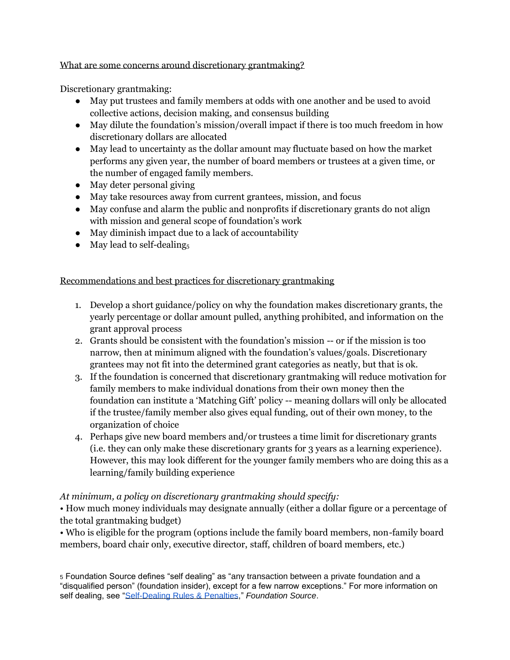#### What are some concerns around discretionary grantmaking?

Discretionary grantmaking:

- May put trustees and family members at odds with one another and be used to avoid collective actions, decision making, and consensus building
- May dilute the foundation's mission/overall impact if there is too much freedom in how discretionary dollars are allocated
- May lead to uncertainty as the dollar amount may fluctuate based on how the market performs any given year, the number of board members or trustees at a given time, or the number of engaged family members.
- May deter personal giving
- May take resources away from current grantees, mission, and focus
- May confuse and alarm the public and nonprofits if discretionary grants do not align with mission and general scope of foundation's work
- May diminish impact due to a lack of accountability
- $\bullet$  May lead to self-dealing<sub>5</sub>

# Recommendations and best practices for discretionary grantmaking

- 1. Develop a short guidance/policy on why the foundation makes discretionary grants, the yearly percentage or dollar amount pulled, anything prohibited, and information on the grant approval process
- 2. Grants should be consistent with the foundation's mission -- or if the mission is too narrow, then at minimum aligned with the foundation's values/goals. Discretionary grantees may not fit into the determined grant categories as neatly, but that is ok.
- 3. If the foundation is concerned that discretionary grantmaking will reduce motivation for family members to make individual donations from their own money then the foundation can institute a 'Matching Gift' policy -- meaning dollars will only be allocated if the trustee/family member also gives equal funding, out of their own money, to the organization of choice
- 4. Perhaps give new board members and/or trustees a time limit for discretionary grants (i.e. they can only make these discretionary grants for 3 years as a learning experience). However, this may look different for the younger family members who are doing this as a learning/family building experience

# *At minimum, a policy on discretionary grantmaking should specify:*

• How much money individuals may designate annually (either a dollar figure or a percentage of the total grantmaking budget)

• Who is eligible for the program (options include the family board members, non-family board members, board chair only, executive director, staff, children of board members, etc.)

<sup>5</sup> Foundation Source defines "self dealing" as "any transaction between a private foundation and a "disqualified person" (foundation insider), except for a few narrow exceptions." For more information on self dealing, see ["Self-Dealing Rules & Penalties,](https://foundationsource.com/manage-your-foundation/private-foundation-self-dealing-rules-penalties-foundation-source/#:~:text=Self%2Ddealing%20is%20any%20transaction,Disqualified%20persons%20include%3A&text=Foundation%20managers%2C%20which%20include%20a,having%20similar%20powers%20or%20responsibilities.)" *Foundation Source*.